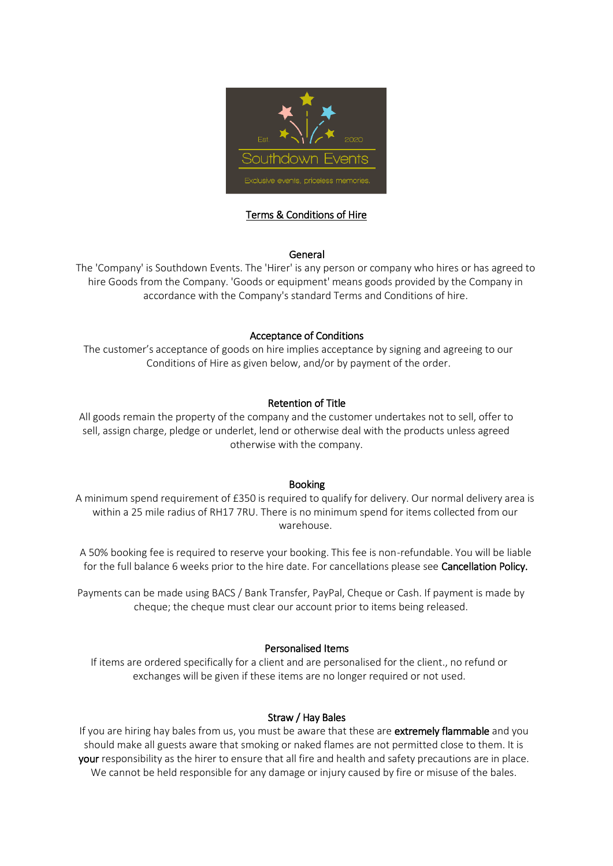

# Terms & Conditions of Hire

### General

The 'Company' is Southdown Events. The 'Hirer' is any person or company who hires or has agreed to hire Goods from the Company. 'Goods or equipment' means goods provided by the Company in accordance with the Company's standard Terms and Conditions of hire.

### Acceptance of Conditions

The customer's acceptance of goods on hire implies acceptance by signing and agreeing to our Conditions of Hire as given below, and/or by payment of the order.

### Retention of Title

All goods remain the property of the company and the customer undertakes not to sell, offer to sell, assign charge, pledge or underlet, lend or otherwise deal with the products unless agreed otherwise with the company.

#### Booking

A minimum spend requirement of £350 is required to qualify for delivery. Our normal delivery area is within a 25 mile radius of RH17 7RU. There is no minimum spend for items collected from our warehouse.

A 50% booking fee is required to reserve your booking. This fee is non-refundable. You will be liable for the full balance 6 weeks prior to the hire date. For cancellations please see Cancellation Policy.

Payments can be made using BACS / Bank Transfer, PayPal, Cheque or Cash. If payment is made by cheque; the cheque must clear our account prior to items being released.

### Personalised Items

If items are ordered specifically for a client and are personalised for the client., no refund or exchanges will be given if these items are no longer required or not used.

#### Straw / Hay Bales

If you are hiring hay bales from us, you must be aware that these are extremely flammable and you should make all guests aware that smoking or naked flames are not permitted close to them. It is your responsibility as the hirer to ensure that all fire and health and safety precautions are in place. We cannot be held responsible for any damage or injury caused by fire or misuse of the bales.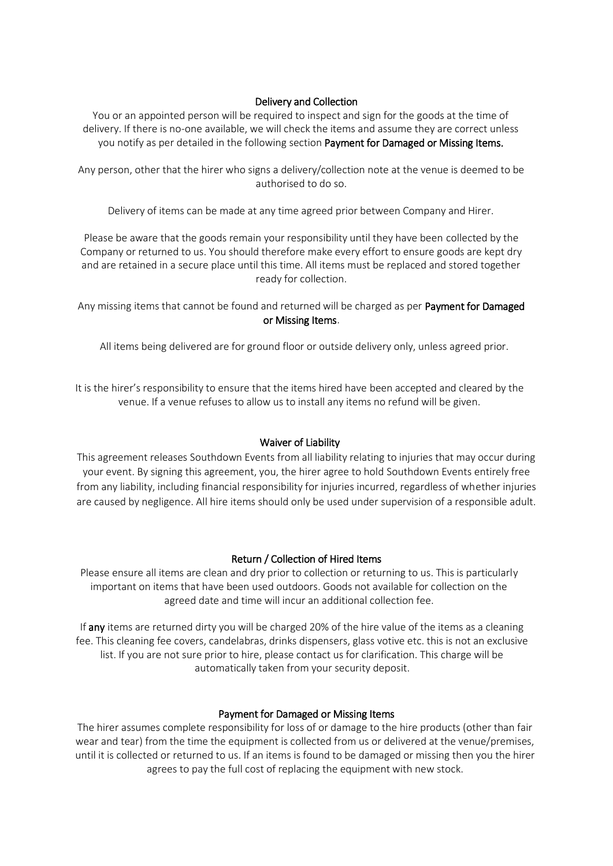# Delivery and Collection

You or an appointed person will be required to inspect and sign for the goods at the time of delivery. If there is no-one available, we will check the items and assume they are correct unless you notify as per detailed in the following section Payment for Damaged or Missing Items.

Any person, other that the hirer who signs a delivery/collection note at the venue is deemed to be authorised to do so.

Delivery of items can be made at any time agreed prior between Company and Hirer.

Please be aware that the goods remain your responsibility until they have been collected by the Company or returned to us. You should therefore make every effort to ensure goods are kept dry and are retained in a secure place until this time. All items must be replaced and stored together ready for collection.

Any missing items that cannot be found and returned will be charged as per Payment for Damaged or Missing Items.

All items being delivered are for ground floor or outside delivery only, unless agreed prior.

It is the hirer's responsibility to ensure that the items hired have been accepted and cleared by the venue. If a venue refuses to allow us to install any items no refund will be given.

### Waiver of Liability

This agreement releases Southdown Events from all liability relating to injuries that may occur during your event. By signing this agreement, you, the hirer agree to hold Southdown Events entirely free from any liability, including financial responsibility for injuries incurred, regardless of whether injuries are caused by negligence. All hire items should only be used under supervision of a responsible adult.

### Return / Collection of Hired Items

Please ensure all items are clean and dry prior to collection or returning to us. This is particularly important on items that have been used outdoors. Goods not available for collection on the agreed date and time will incur an additional collection fee.

If any items are returned dirty you will be charged 20% of the hire value of the items as a cleaning fee. This cleaning fee covers, candelabras, drinks dispensers, glass votive etc. this is not an exclusive list. If you are not sure prior to hire, please contact us for clarification. This charge will be automatically taken from your security deposit.

#### Payment for Damaged or Missing Items

The hirer assumes complete responsibility for loss of or damage to the hire products (other than fair wear and tear) from the time the equipment is collected from us or delivered at the venue/premises, until it is collected or returned to us. If an items is found to be damaged or missing then you the hirer agrees to pay the full cost of replacing the equipment with new stock.